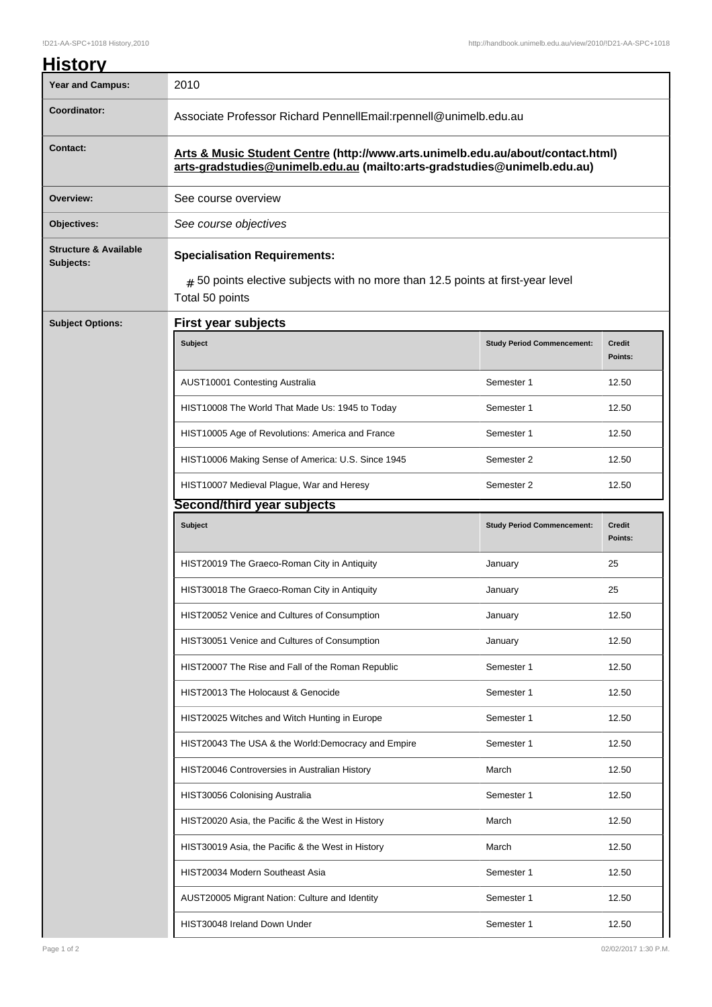| <b>History</b>                                |                                                                                                                                                             |                                   |                          |  |
|-----------------------------------------------|-------------------------------------------------------------------------------------------------------------------------------------------------------------|-----------------------------------|--------------------------|--|
| <b>Year and Campus:</b>                       | 2010                                                                                                                                                        |                                   |                          |  |
| Coordinator:                                  | Associate Professor Richard PennellEmail:rpennell@unimelb.edu.au                                                                                            |                                   |                          |  |
| <b>Contact:</b>                               | Arts & Music Student Centre (http://www.arts.unimelb.edu.au/about/contact.html)<br>arts-gradstudies@unimelb.edu.au (mailto:arts-gradstudies@unimelb.edu.au) |                                   |                          |  |
| Overview:                                     | See course overview                                                                                                                                         |                                   |                          |  |
| Objectives:                                   | See course objectives                                                                                                                                       |                                   |                          |  |
| <b>Structure &amp; Available</b><br>Subjects: | <b>Specialisation Requirements:</b><br>$_{\#}$ 50 points elective subjects with no more than 12.5 points at first-year level<br>Total 50 points             |                                   |                          |  |
| <b>Subject Options:</b>                       | <b>First year subjects</b>                                                                                                                                  |                                   |                          |  |
|                                               | <b>Subject</b>                                                                                                                                              | <b>Study Period Commencement:</b> | <b>Credit</b><br>Points: |  |
|                                               | AUST10001 Contesting Australia                                                                                                                              | Semester 1                        | 12.50                    |  |
|                                               | HIST10008 The World That Made Us: 1945 to Today                                                                                                             | Semester 1                        | 12.50                    |  |
|                                               | HIST10005 Age of Revolutions: America and France                                                                                                            | Semester 1                        | 12.50                    |  |
|                                               | HIST10006 Making Sense of America: U.S. Since 1945                                                                                                          | Semester 2                        | 12.50                    |  |
|                                               | HIST10007 Medieval Plague, War and Heresy                                                                                                                   | Semester 2                        | 12.50                    |  |
|                                               | Second/third year subjects                                                                                                                                  |                                   |                          |  |
|                                               | <b>Subject</b>                                                                                                                                              | <b>Study Period Commencement:</b> | <b>Credit</b><br>Points: |  |
|                                               | HIST20019 The Graeco-Roman City in Antiquity                                                                                                                | January                           | 25                       |  |
|                                               | HIST30018 The Graeco-Roman City in Antiquity                                                                                                                | January                           | 25                       |  |
|                                               | HIST20052 Venice and Cultures of Consumption                                                                                                                | January                           | 12.50                    |  |
|                                               | HIST30051 Venice and Cultures of Consumption                                                                                                                | January                           | 12.50                    |  |
|                                               | HIST20007 The Rise and Fall of the Roman Republic                                                                                                           | Semester 1                        | 12.50                    |  |
|                                               | HIST20013 The Holocaust & Genocide                                                                                                                          | Semester 1                        | 12.50                    |  |
|                                               | HIST20025 Witches and Witch Hunting in Europe                                                                                                               | Semester 1                        | 12.50                    |  |
|                                               | HIST20043 The USA & the World: Democracy and Empire                                                                                                         | Semester 1                        | 12.50                    |  |
|                                               | HIST20046 Controversies in Australian History                                                                                                               | March                             | 12.50                    |  |
|                                               | HIST30056 Colonising Australia                                                                                                                              | Semester 1                        | 12.50                    |  |
|                                               | HIST20020 Asia, the Pacific & the West in History                                                                                                           | March                             | 12.50                    |  |
|                                               | HIST30019 Asia, the Pacific & the West in History                                                                                                           | March                             | 12.50                    |  |
|                                               | HIST20034 Modern Southeast Asia                                                                                                                             | Semester 1                        | 12.50                    |  |
|                                               | AUST20005 Migrant Nation: Culture and Identity                                                                                                              | Semester 1                        | 12.50                    |  |
|                                               | HIST30048 Ireland Down Under                                                                                                                                | Semester 1                        | 12.50                    |  |